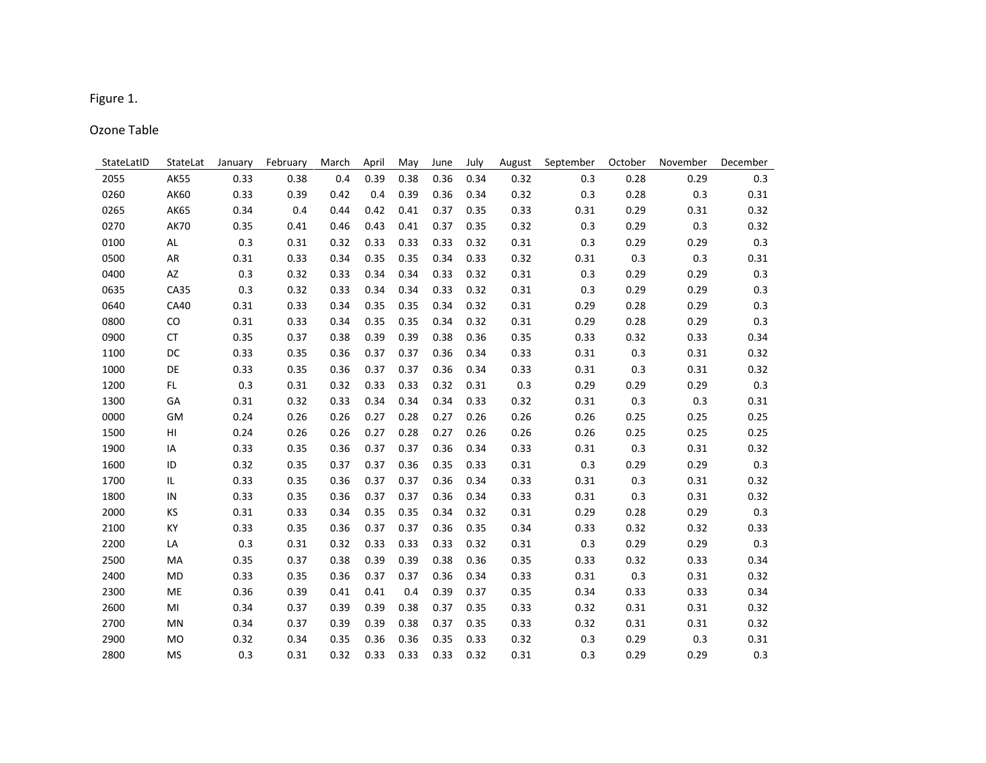## Figure 1.

## Ozone Table

| StateLatID | StateLat       | January | February | March | April | May  | June | July | August | September | October | November | December |
|------------|----------------|---------|----------|-------|-------|------|------|------|--------|-----------|---------|----------|----------|
| 2055       | <b>AK55</b>    | 0.33    | 0.38     | 0.4   | 0.39  | 0.38 | 0.36 | 0.34 | 0.32   | 0.3       | 0.28    | 0.29     | 0.3      |
| 0260       | AK60           | 0.33    | 0.39     | 0.42  | 0.4   | 0.39 | 0.36 | 0.34 | 0.32   | 0.3       | 0.28    | 0.3      | 0.31     |
| 0265       | <b>AK65</b>    | 0.34    | 0.4      | 0.44  | 0.42  | 0.41 | 0.37 | 0.35 | 0.33   | 0.31      | 0.29    | 0.31     | 0.32     |
| 0270       | <b>AK70</b>    | 0.35    | 0.41     | 0.46  | 0.43  | 0.41 | 0.37 | 0.35 | 0.32   | 0.3       | 0.29    | 0.3      | 0.32     |
| 0100       | AL             | 0.3     | 0.31     | 0.32  | 0.33  | 0.33 | 0.33 | 0.32 | 0.31   | 0.3       | 0.29    | 0.29     | $0.3\,$  |
| 0500       | AR             | 0.31    | 0.33     | 0.34  | 0.35  | 0.35 | 0.34 | 0.33 | 0.32   | 0.31      | 0.3     | 0.3      | 0.31     |
| 0400       | AZ             | 0.3     | 0.32     | 0.33  | 0.34  | 0.34 | 0.33 | 0.32 | 0.31   | 0.3       | 0.29    | 0.29     | 0.3      |
| 0635       | CA35           | 0.3     | 0.32     | 0.33  | 0.34  | 0.34 | 0.33 | 0.32 | 0.31   | 0.3       | 0.29    | 0.29     | 0.3      |
| 0640       | CA40           | 0.31    | 0.33     | 0.34  | 0.35  | 0.35 | 0.34 | 0.32 | 0.31   | 0.29      | 0.28    | 0.29     | 0.3      |
| 0800       | CO             | 0.31    | 0.33     | 0.34  | 0.35  | 0.35 | 0.34 | 0.32 | 0.31   | 0.29      | 0.28    | 0.29     | 0.3      |
| 0900       | <b>CT</b>      | 0.35    | 0.37     | 0.38  | 0.39  | 0.39 | 0.38 | 0.36 | 0.35   | 0.33      | 0.32    | 0.33     | 0.34     |
| 1100       | DC             | 0.33    | 0.35     | 0.36  | 0.37  | 0.37 | 0.36 | 0.34 | 0.33   | 0.31      | 0.3     | 0.31     | 0.32     |
| 1000       | DE             | 0.33    | 0.35     | 0.36  | 0.37  | 0.37 | 0.36 | 0.34 | 0.33   | 0.31      | 0.3     | 0.31     | 0.32     |
| 1200       | FL.            | 0.3     | 0.31     | 0.32  | 0.33  | 0.33 | 0.32 | 0.31 | 0.3    | 0.29      | 0.29    | 0.29     | 0.3      |
| 1300       | GA             | 0.31    | 0.32     | 0.33  | 0.34  | 0.34 | 0.34 | 0.33 | 0.32   | 0.31      | 0.3     | 0.3      | 0.31     |
| 0000       | <b>GM</b>      | 0.24    | 0.26     | 0.26  | 0.27  | 0.28 | 0.27 | 0.26 | 0.26   | 0.26      | 0.25    | 0.25     | 0.25     |
| 1500       | HI             | 0.24    | 0.26     | 0.26  | 0.27  | 0.28 | 0.27 | 0.26 | 0.26   | 0.26      | 0.25    | 0.25     | 0.25     |
| 1900       | IA             | 0.33    | 0.35     | 0.36  | 0.37  | 0.37 | 0.36 | 0.34 | 0.33   | 0.31      | 0.3     | 0.31     | 0.32     |
| 1600       | ID             | 0.32    | 0.35     | 0.37  | 0.37  | 0.36 | 0.35 | 0.33 | 0.31   | 0.3       | 0.29    | 0.29     | 0.3      |
| 1700       | IL             | 0.33    | 0.35     | 0.36  | 0.37  | 0.37 | 0.36 | 0.34 | 0.33   | 0.31      | 0.3     | 0.31     | 0.32     |
| 1800       | IN             | 0.33    | 0.35     | 0.36  | 0.37  | 0.37 | 0.36 | 0.34 | 0.33   | 0.31      | 0.3     | 0.31     | 0.32     |
| 2000       | KS             | 0.31    | 0.33     | 0.34  | 0.35  | 0.35 | 0.34 | 0.32 | 0.31   | 0.29      | 0.28    | 0.29     | 0.3      |
| 2100       | КY             | 0.33    | 0.35     | 0.36  | 0.37  | 0.37 | 0.36 | 0.35 | 0.34   | 0.33      | 0.32    | 0.32     | 0.33     |
| 2200       | LA             | 0.3     | 0.31     | 0.32  | 0.33  | 0.33 | 0.33 | 0.32 | 0.31   | 0.3       | 0.29    | 0.29     | 0.3      |
| 2500       | MA             | 0.35    | 0.37     | 0.38  | 0.39  | 0.39 | 0.38 | 0.36 | 0.35   | 0.33      | 0.32    | 0.33     | 0.34     |
| 2400       | <b>MD</b>      | 0.33    | 0.35     | 0.36  | 0.37  | 0.37 | 0.36 | 0.34 | 0.33   | 0.31      | 0.3     | 0.31     | 0.32     |
| 2300       | ME             | 0.36    | 0.39     | 0.41  | 0.41  | 0.4  | 0.39 | 0.37 | 0.35   | 0.34      | 0.33    | 0.33     | 0.34     |
| 2600       | MI             | 0.34    | 0.37     | 0.39  | 0.39  | 0.38 | 0.37 | 0.35 | 0.33   | 0.32      | 0.31    | 0.31     | 0.32     |
| 2700       | MN             | 0.34    | 0.37     | 0.39  | 0.39  | 0.38 | 0.37 | 0.35 | 0.33   | 0.32      | 0.31    | 0.31     | 0.32     |
| 2900       | M <sub>O</sub> | 0.32    | 0.34     | 0.35  | 0.36  | 0.36 | 0.35 | 0.33 | 0.32   | 0.3       | 0.29    | 0.3      | 0.31     |
| 2800       | <b>MS</b>      | 0.3     | 0.31     | 0.32  | 0.33  | 0.33 | 0.33 | 0.32 | 0.31   | 0.3       | 0.29    | 0.29     | 0.3      |